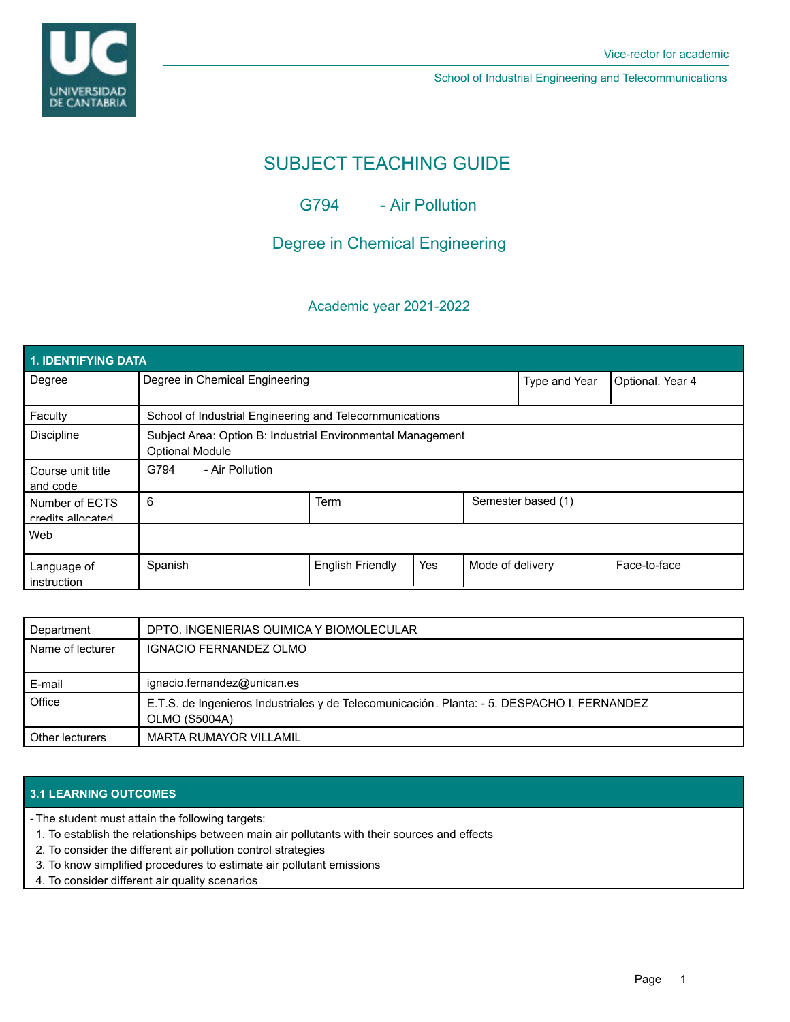

School of Industrial Engineering and Telecommunications

# SUBJECT TEACHING GUIDE

G794 - Air Pollution

## Degree in Chemical Engineering

### Academic year 2021-2022

| 1. IDENTIFYING DATA                 |                                                                                       |                         |     |                    |                  |               |  |  |  |
|-------------------------------------|---------------------------------------------------------------------------------------|-------------------------|-----|--------------------|------------------|---------------|--|--|--|
| Degree                              | Degree in Chemical Engineering                                                        |                         |     | Type and Year      | Optional. Year 4 |               |  |  |  |
| Faculty                             | School of Industrial Engineering and Telecommunications                               |                         |     |                    |                  |               |  |  |  |
| <b>Discipline</b>                   | Subject Area: Option B: Industrial Environmental Management<br><b>Optional Module</b> |                         |     |                    |                  |               |  |  |  |
| Course unit title<br>and code       | G794<br>- Air Pollution                                                               |                         |     |                    |                  |               |  |  |  |
| Number of ECTS<br>credits allocated | 6                                                                                     | <b>Term</b>             |     | Semester based (1) |                  |               |  |  |  |
| Web                                 |                                                                                       |                         |     |                    |                  |               |  |  |  |
| Language of<br>instruction          | Spanish                                                                               | <b>English Friendly</b> | Yes | Mode of delivery   |                  | lFace-to-face |  |  |  |

| Department       | DPTO. INGENIERIAS QUIMICA Y BIOMOLECULAR                                                                     |
|------------------|--------------------------------------------------------------------------------------------------------------|
| Name of lecturer | IGNACIO FERNANDEZ OLMO                                                                                       |
| E-mail           | ignacio.fernandez@unican.es                                                                                  |
| Office           | E.T.S. de Ingenieros Industriales y de Telecomunicación. Planta: - 5. DESPACHO I. FERNANDEZ<br>OLMO (S5004A) |
| Other lecturers  | MARTA RUMAYOR VILLAMIL                                                                                       |

#### **3.1 LEARNING OUTCOMES**

The student must attain the following targets: -

- 1. To establish the relationships between main air pollutants with their sources and effects
- 2. To consider the different air pollution control strategies
- 3. To know simplified procedures to estimate air pollutant emissions
- 4. To consider different air quality scenarios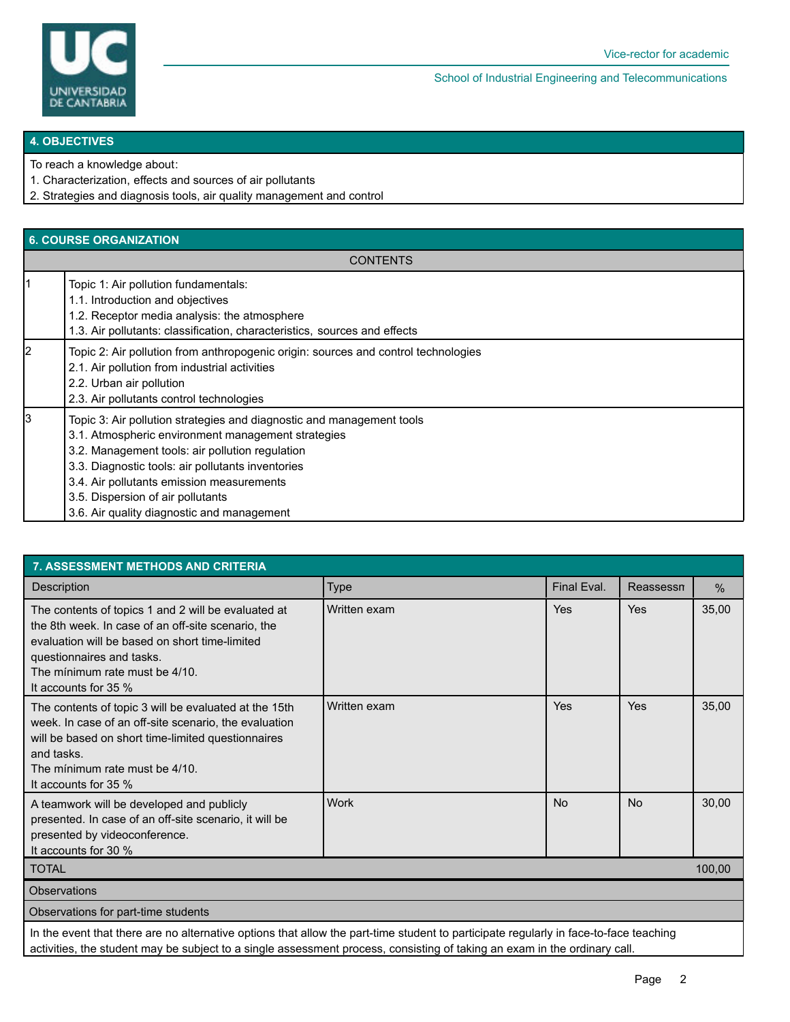

School of Industrial Engineering and Telecommunications

#### **4. OBJECTIVES**

To reach a knowledge about:

1. Characterization, effects and sources of air pollutants

2. Strategies and diagnosis tools, air quality management and control

#### **6. COURSE ORGANIZATION**

**CONTENTS** 

|   | Topic 1: Air pollution fundamentals:<br>1.1. Introduction and objectives<br>1.2. Receptor media analysis: the atmosphere<br>1.3. Air pollutants: classification, characteristics, sources and effects                                                                                                                                                               |
|---|---------------------------------------------------------------------------------------------------------------------------------------------------------------------------------------------------------------------------------------------------------------------------------------------------------------------------------------------------------------------|
| 2 | Topic 2: Air pollution from anthropogenic origin: sources and control technologies<br>2.1. Air pollution from industrial activities<br>2.2. Urban air pollution<br>2.3. Air pollutants control technologies                                                                                                                                                         |
| 3 | Topic 3: Air pollution strategies and diagnostic and management tools<br>3.1. Atmospheric environment management strategies<br>3.2. Management tools: air pollution regulation<br>3.3. Diagnostic tools: air pollutants inventories<br>3.4. Air pollutants emission measurements<br>3.5. Dispersion of air pollutants<br>3.6. Air quality diagnostic and management |

| <b>7. ASSESSMENT METHODS AND CRITERIA</b>                                                                                                                                                                                                          |              |             |           |       |  |  |  |  |
|----------------------------------------------------------------------------------------------------------------------------------------------------------------------------------------------------------------------------------------------------|--------------|-------------|-----------|-------|--|--|--|--|
| Description                                                                                                                                                                                                                                        | <b>Type</b>  | Final Eval. | Reassessn | $\%$  |  |  |  |  |
| The contents of topics 1 and 2 will be evaluated at<br>the 8th week. In case of an off-site scenario, the<br>evaluation will be based on short time-limited<br>questionnaires and tasks.<br>The minimum rate must be 4/10.<br>It accounts for 35 % | Written exam | Yes         | Yes       | 35,00 |  |  |  |  |
| The contents of topic 3 will be evaluated at the 15th<br>week. In case of an off-site scenario, the evaluation<br>will be based on short time-limited questionnaires<br>and tasks.<br>The minimum rate must be 4/10.<br>It accounts for 35 %       | Written exam | Yes         | Yes       | 35,00 |  |  |  |  |
| A teamwork will be developed and publicly<br>presented. In case of an off-site scenario, it will be<br>presented by videoconference.<br>It accounts for 30 %                                                                                       | <b>Work</b>  | <b>No</b>   | <b>No</b> | 30,00 |  |  |  |  |
| <b>TOTAL</b>                                                                                                                                                                                                                                       |              |             | 100,00    |       |  |  |  |  |
| <b>Observations</b>                                                                                                                                                                                                                                |              |             |           |       |  |  |  |  |
| Observations for part-time students                                                                                                                                                                                                                |              |             |           |       |  |  |  |  |
| In the overt that there are no elternative entigne that ellow the next time student to nextiginate requierly in face to face to eaching                                                                                                            |              |             |           |       |  |  |  |  |

In the event that there are no alternative options that allow the part-time student to participate regularly in face-to-face teaching activities, the student may be subject to a single assessment process, consisting of taking an exam in the ordinary call.